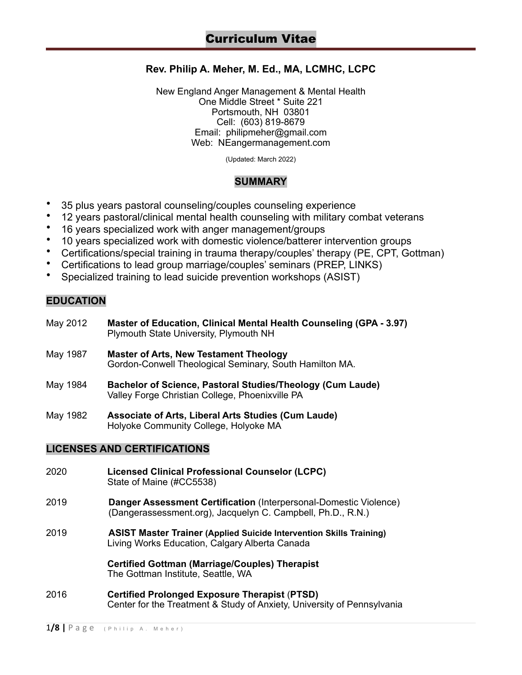# **Rev. Philip A. Meher, M. Ed., MA, LCMHC, LCPC**

New England Anger Management & Mental Health One Middle Street \* Suite 221 Portsmouth, NH 03801 Cell: (603) 819-8679 Email: philipmeher@gmail.com Web: NEangermanagement.com

(Updated: March 2022)

#### **SUMMARY**

- 35 plus years pastoral counseling/couples counseling experience
- 12 years pastoral/clinical mental health counseling with military combat veterans
- 16 years specialized work with anger management/groups
- 10 years specialized work with domestic violence/batterer intervention groups
- Certifications/special training in trauma therapy/couples' therapy (PE, CPT, Gottman)
- Certifications to lead group marriage/couples' seminars (PREP, LINKS)
- Specialized training to lead suicide prevention workshops (ASIST)

# **EDUCATION**

- May 2012 **Master of Education, Clinical Mental Health Counseling (GPA 3.97)** Plymouth State University, Plymouth NH
- May 1987 **Master of Arts, New Testament Theology** Gordon-Conwell Theological Seminary, South Hamilton MA.
- May 1984 **Bachelor of Science, Pastoral Studies/Theology (Cum Laude)** Valley Forge Christian College, Phoenixville PA
- May 1982 **Associate of Arts, Liberal Arts Studies (Cum Laude)** Holyoke Community College, Holyoke MA

#### **LICENSES AND CERTIFICATIONS**

- 2020 **Licensed Clinical Professional Counselor (LCPC)** State of Maine (#CC5538)
- 2019 **Danger Assessment Certification** (Interpersonal-Domestic Violence) (Dangerassessment.org), Jacquelyn C. Campbell, Ph.D., R.N.)
- 2019 **ASIST Master Trainer (Applied Suicide Intervention Skills Training)** Living Works Education, Calgary Alberta Canada

**Certified Gottman (Marriage/Couples) Therapist** The Gottman Institute, Seattle, WA

2016 **Certified Prolonged Exposure Therapist** (**PTSD)** Center for the Treatment & Study of Anxiety, University of Pennsylvania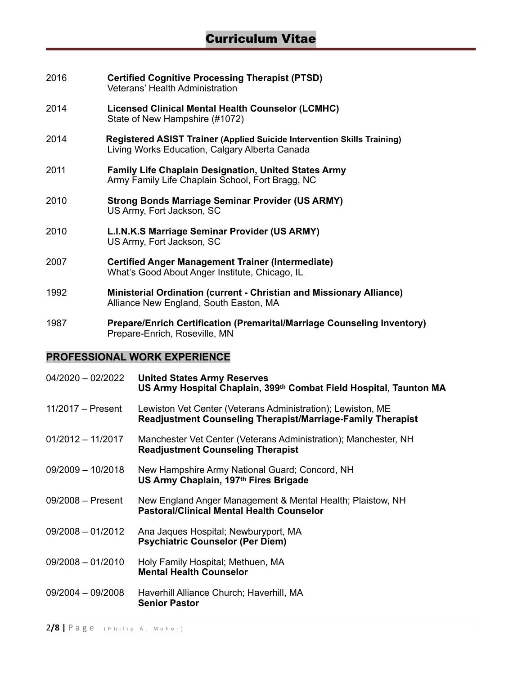- 2016 **Certified Cognitive Processing Therapist (PTSD)** Veterans' Health Administration
- 2014 **Licensed Clinical Mental Health Counselor (LCMHC)** State of New Hampshire (#1072)
- 2014 **Registered ASIST Trainer (Applied Suicide Intervention Skills Training)** Living Works Education, Calgary Alberta Canada
- 2011 **Family Life Chaplain Designation, United States Army** Army Family Life Chaplain School, Fort Bragg, NC
- 2010 **Strong Bonds Marriage Seminar Provider (US ARMY)** US Army, Fort Jackson, SC
- 2010 **L.I.N.K.S Marriage Seminar Provider (US ARMY)** US Army, Fort Jackson, SC
- 2007 **Certified Anger Management Trainer (Intermediate)** What's Good About Anger Institute, Chicago, IL
- 1992 **Ministerial Ordination (current Christian and Missionary Alliance)** Alliance New England, South Easton, MA
- 1987 **Prepare/Enrich Certification (Premarital/Marriage Counseling Inventory)**  Prepare-Enrich, Roseville, MN

#### **PROFESSIONAL WORK EXPERIENCE**

| $04/2020 - 02/2022$ | <b>United States Army Reserves</b><br>US Army Hospital Chaplain, 399 <sup>th</sup> Combat Field Hospital, Taunton MA              |
|---------------------|-----------------------------------------------------------------------------------------------------------------------------------|
| $11/2017 -$ Present | Lewiston Vet Center (Veterans Administration); Lewiston, ME<br><b>Readjustment Counseling Therapist/Marriage-Family Therapist</b> |
| $01/2012 - 11/2017$ | Manchester Vet Center (Veterans Administration); Manchester, NH<br><b>Readjustment Counseling Therapist</b>                       |
| $09/2009 - 10/2018$ | New Hampshire Army National Guard; Concord, NH<br>US Army Chaplain, 197 <sup>th</sup> Fires Brigade                               |
| $09/2008 -$ Present | New England Anger Management & Mental Health; Plaistow, NH<br><b>Pastoral/Clinical Mental Health Counselor</b>                    |
| $09/2008 - 01/2012$ | Ana Jaques Hospital; Newburyport, MA<br><b>Psychiatric Counselor (Per Diem)</b>                                                   |
| $09/2008 - 01/2010$ | Holy Family Hospital; Methuen, MA<br><b>Mental Health Counselor</b>                                                               |
| $09/2004 - 09/2008$ | Haverhill Alliance Church; Haverhill, MA<br><b>Senior Pastor</b>                                                                  |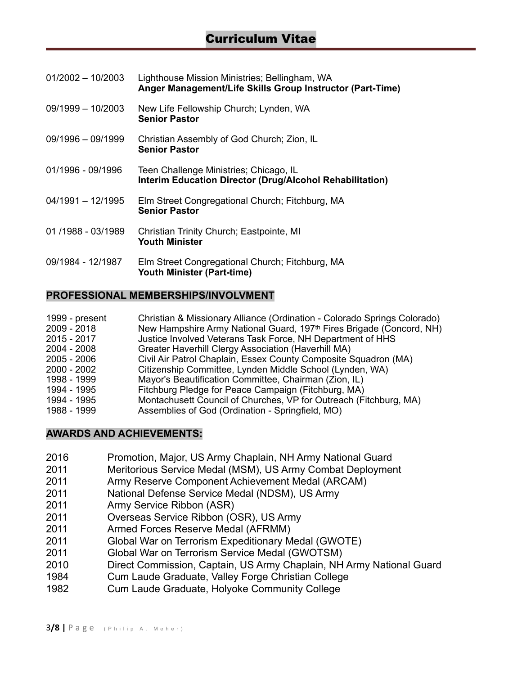| $01/2002 - 10/2003$ | Lighthouse Mission Ministries; Bellingham, WA<br>Anger Management/Life Skills Group Instructor (Part-Time) |
|---------------------|------------------------------------------------------------------------------------------------------------|
| $09/1999 - 10/2003$ | New Life Fellowship Church; Lynden, WA<br><b>Senior Pastor</b>                                             |
| $09/1996 - 09/1999$ | Christian Assembly of God Church; Zion, IL<br><b>Senior Pastor</b>                                         |
| 01/1996 - 09/1996   | Teen Challenge Ministries; Chicago, IL<br>Interim Education Director (Drug/Alcohol Rehabilitation)         |
| $04/1991 - 12/1995$ | Elm Street Congregational Church; Fitchburg, MA<br><b>Senior Pastor</b>                                    |
| 01 /1988 - 03/1989  | Christian Trinity Church; Eastpointe, MI<br><b>Youth Minister</b>                                          |
| 09/1984 - 12/1987   | Elm Street Congregational Church; Fitchburg, MA<br>Youth Minister (Part-time)                              |

# **PROFESSIONAL MEMBERSHIPS/INVOLVMENT**

| 1999 - present | Christian & Missionary Alliance (Ordination - Colorado Springs Colorado)         |
|----------------|----------------------------------------------------------------------------------|
| 2009 - 2018    | New Hampshire Army National Guard, 197 <sup>th</sup> Fires Brigade (Concord, NH) |
| 2015 - 2017    | Justice Involved Veterans Task Force, NH Department of HHS                       |
| 2004 - 2008    | Greater Haverhill Clergy Association (Haverhill MA)                              |
| 2005 - 2006    | Civil Air Patrol Chaplain, Essex County Composite Squadron (MA)                  |
| 2000 - 2002    | Citizenship Committee, Lynden Middle School (Lynden, WA)                         |
| 1998 - 1999    | Mayor's Beautification Committee, Chairman (Zion, IL)                            |
| 1994 - 1995    | Fitchburg Pledge for Peace Campaign (Fitchburg, MA)                              |
| 1994 - 1995    | Montachusett Council of Churches, VP for Outreach (Fitchburg, MA)                |
| 1988 - 1999    | Assemblies of God (Ordination - Springfield, MO)                                 |

# **AWARDS AND ACHIEVEMENTS:**

- 2016 Promotion, Major, US Army Chaplain, NH Army National Guard
- 2011 Meritorious Service Medal (MSM), US Army Combat Deployment
- 2011 Army Reserve Component Achievement Medal (ARCAM)
- 2011 National Defense Service Medal (NDSM), US Army
- 2011 Army Service Ribbon (ASR)
- 2011 Overseas Service Ribbon (OSR), US Army
- 2011 Armed Forces Reserve Medal (AFRMM)
- 2011 Global War on Terrorism Expeditionary Medal (GWOTE)
- 2011 Global War on Terrorism Service Medal (GWOTSM)
- 2010 Direct Commission, Captain, US Army Chaplain, NH Army National Guard
- 1984 Cum Laude Graduate, Valley Forge Christian College
- 1982 Cum Laude Graduate, Holyoke Community College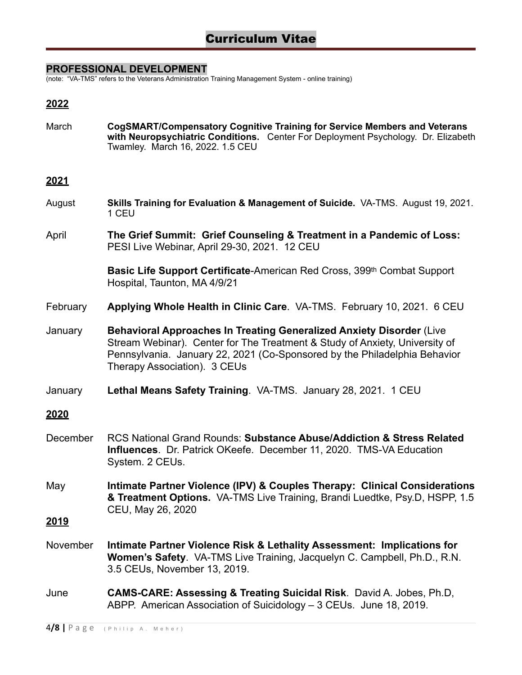#### **PROFESSIONAL DEVELOPMENT**

(note: "VA-TMS" refers to the Veterans Administration Training Management System - online training)

#### **2022**

March **CogSMART/Compensatory Cognitive Training for Service Members and Veterans with Neuropsychiatric Conditions.** Center For Deployment Psychology. Dr. Elizabeth Twamley. March 16, 2022. 1.5 CEU

#### **2021**

- August **Skills Training for Evaluation & Management of Suicide.** VA-TMS. August 19, 2021. 1 CEU
- April **The Grief Summit: Grief Counseling & Treatment in a Pandemic of Loss:**  PESI Live Webinar, April 29-30, 2021. 12 CEU

**Basic Life Support Certificate-American Red Cross, 399th Combat Support** Hospital, Taunton, MA 4/9/21

- February **Applying Whole Health in Clinic Care**. VA-TMS. February 10, 2021. 6 CEU
- January **Behavioral Approaches In Treating Generalized Anxiety Disorder** (Live Stream Webinar). Center for The Treatment & Study of Anxiety, University of Pennsylvania. January 22, 2021 (Co-Sponsored by the Philadelphia Behavior Therapy Association). 3 CEUs
- January **Lethal Means Safety Training**. VA-TMS. January 28, 2021. 1 CEU

#### **2020**

- December RCS National Grand Rounds: **Substance Abuse/Addiction & Stress Related Influences**. Dr. Patrick OKeefe. December 11, 2020. TMS-VA Education System. 2 CEUs.
- May **Intimate Partner Violence (IPV) & Couples Therapy: Clinical Considerations & Treatment Options.** VA-TMS Live Training, Brandi Luedtke, Psy.D, HSPP, 1.5 CEU, May 26, 2020

- November **Intimate Partner Violence Risk & Lethality Assessment: Implications for Women's Safety**. VA-TMS Live Training, Jacquelyn C. Campbell, Ph.D., R.N. 3.5 CEUs, November 13, 2019.
- June **CAMS-CARE: Assessing & Treating Suicidal Risk**. David A. Jobes, Ph.D, ABPP. American Association of Suicidology – 3 CEUs. June 18, 2019.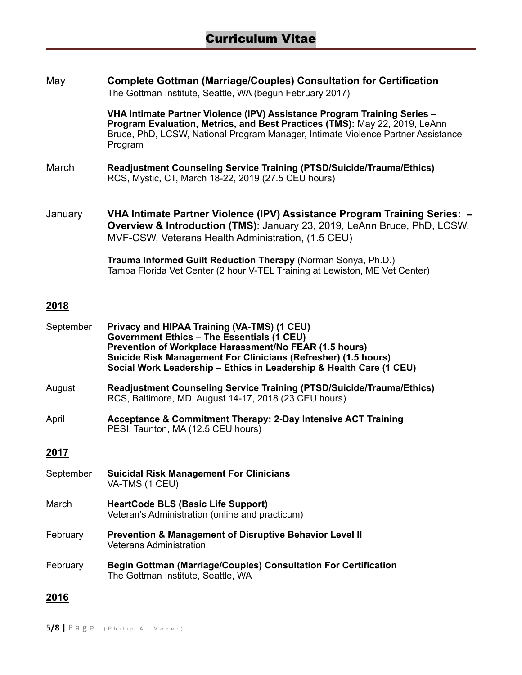| May         | <b>Complete Gottman (Marriage/Couples) Consultation for Certification</b><br>The Gottman Institute, Seattle, WA (begun February 2017)                                                                                                                                                               |
|-------------|-----------------------------------------------------------------------------------------------------------------------------------------------------------------------------------------------------------------------------------------------------------------------------------------------------|
|             | VHA Intimate Partner Violence (IPV) Assistance Program Training Series -<br>Program Evaluation, Metrics, and Best Practices (TMS): May 22, 2019, LeAnn<br>Bruce, PhD, LCSW, National Program Manager, Intimate Violence Partner Assistance<br>Program                                               |
| March       | Readjustment Counseling Service Training (PTSD/Suicide/Trauma/Ethics)<br>RCS, Mystic, CT, March 18-22, 2019 (27.5 CEU hours)                                                                                                                                                                        |
| January     | VHA Intimate Partner Violence (IPV) Assistance Program Training Series: -<br>Overview & Introduction (TMS): January 23, 2019, LeAnn Bruce, PhD, LCSW,<br>MVF-CSW, Veterans Health Administration, (1.5 CEU)                                                                                         |
|             | Trauma Informed Guilt Reduction Therapy (Norman Sonya, Ph.D.)<br>Tampa Florida Vet Center (2 hour V-TEL Training at Lewiston, ME Vet Center)                                                                                                                                                        |
| <u>2018</u> |                                                                                                                                                                                                                                                                                                     |
| September   | Privacy and HIPAA Training (VA-TMS) (1 CEU)<br><b>Government Ethics - The Essentials (1 CEU)</b><br>Prevention of Workplace Harassment/No FEAR (1.5 hours)<br>Suicide Risk Management For Clinicians (Refresher) (1.5 hours)<br>Social Work Leadership - Ethics in Leadership & Health Care (1 CEU) |
| August      | Readjustment Counseling Service Training (PTSD/Suicide/Trauma/Ethics)<br>RCS, Baltimore, MD, August 14-17, 2018 (23 CEU hours)                                                                                                                                                                      |
| April       | <b>Acceptance &amp; Commitment Therapy: 2-Day Intensive ACT Training</b><br>PESI, Taunton, MA (12.5 CEU hours)                                                                                                                                                                                      |
| 2017        |                                                                                                                                                                                                                                                                                                     |
| September   | <b>Suicidal Risk Management For Clinicians</b><br>VA-TMS (1 CEU)                                                                                                                                                                                                                                    |
| March       | <b>HeartCode BLS (Basic Life Support)</b><br>Veteran's Administration (online and practicum)                                                                                                                                                                                                        |
| February    | <b>Prevention &amp; Management of Disruptive Behavior Level II</b><br><b>Veterans Administration</b>                                                                                                                                                                                                |
| February    | Begin Gottman (Marriage/Couples) Consultation For Certification<br>The Gottman Institute, Seattle, WA                                                                                                                                                                                               |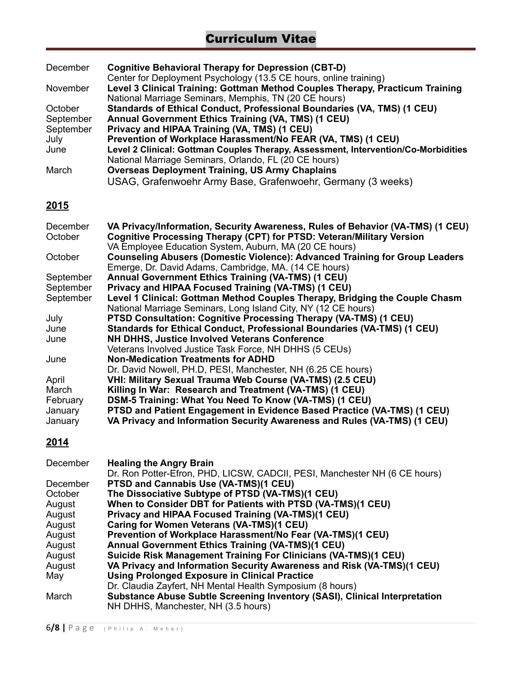# Curriculum Vitae

| December  | <b>Cognitive Behavioral Therapy for Depression (CBT-D)</b>                         |
|-----------|------------------------------------------------------------------------------------|
|           | Center for Deployment Psychology (13.5 CE hours, online training)                  |
| November  | Level 3 Clinical Training: Gottman Method Couples Therapy, Practicum Training      |
|           | National Marriage Seminars, Memphis, TN (20 CE hours)                              |
| October   | Standards of Ethical Conduct, Professional Boundaries (VA, TMS) (1 CEU)            |
| September | Annual Government Ethics Training (VA, TMS) (1 CEU)                                |
| September | Privacy and HIPAA Training (VA, TMS) (1 CEU)                                       |
| July      | Prevention of Workplace Harassment/No FEAR (VA, TMS) (1 CEU)                       |
| June      | Level 2 Clinical: Gottman Couples Therapy, Assessment, Intervention/Co-Morbidities |
|           | National Marriage Seminars, Orlando, FL (20 CE hours)                              |
| March     | <b>Overseas Deployment Training, US Army Chaplains</b>                             |
|           | USAG, Grafenwoehr Army Base, Grafenwoehr, Germany (3 weeks)                        |

# **2015**

| December<br>October | VA Privacy/Information, Security Awareness, Rules of Behavior (VA-TMS) (1 CEU)<br><b>Cognitive Processing Therapy (CPT) for PTSD: Veteran/Military Version</b> |
|---------------------|----------------------------------------------------------------------------------------------------------------------------------------------------------------|
|                     | VA Employee Education System, Auburn, MA (20 CE hours)                                                                                                         |
| October             | <b>Counseling Abusers (Domestic Violence): Advanced Training for Group Leaders</b>                                                                             |
|                     | Emerge, Dr. David Adams, Cambridge, MA. (14 CE hours)                                                                                                          |
| September           | Annual Government Ethics Training (VA-TMS) (1 CEU)                                                                                                             |
| September           | Privacy and HIPAA Focused Training (VA-TMS) (1 CEU)                                                                                                            |
| September           | Level 1 Clinical: Gottman Method Couples Therapy, Bridging the Couple Chasm                                                                                    |
|                     | National Marriage Seminars, Long Island City, NY (12 CE hours)                                                                                                 |
| July                | PTSD Consultation: Cognitive Processing Therapy (VA-TMS) (1 CEU)                                                                                               |
| June                | Standards for Ethical Conduct, Professional Boundaries (VA-TMS) (1 CEU)                                                                                        |
| June                | NH DHHS, Justice Involved Veterans Conference                                                                                                                  |
|                     | Veterans Involved Justice Task Force, NH DHHS (5 CEUs)                                                                                                         |
| June                | <b>Non-Medication Treatments for ADHD</b>                                                                                                                      |
|                     | Dr. David Nowell, PH.D. PESI, Manchester, NH (6.25 CE hours)                                                                                                   |
| April               | VHI: Military Sexual Trauma Web Course (VA-TMS) (2.5 CEU)                                                                                                      |
| March               | Killing In War: Research and Treatment (VA-TMS) (1 CEU)                                                                                                        |
| February            | DSM-5 Training: What You Need To Know (VA-TMS) (1 CEU)                                                                                                         |
| January             | PTSD and Patient Engagement in Evidence Based Practice (VA-TMS) (1 CEU)                                                                                        |
| January             | VA Privacy and Information Security Awareness and Rules (VA-TMS) (1 CEU)                                                                                       |

| December | <b>Healing the Angry Brain</b>                                             |
|----------|----------------------------------------------------------------------------|
|          | Dr. Ron Potter-Efron, PHD, LICSW, CADCII, PESI, Manchester NH (6 CE hours) |
| December | PTSD and Cannabis Use (VA-TMS)(1 CEU)                                      |
| October  | The Dissociative Subtype of PTSD (VA-TMS)(1 CEU)                           |
| August   | When to Consider DBT for Patients with PTSD (VA-TMS)(1 CEU)                |
| August   | Privacy and HIPAA Focused Training (VA-TMS)(1 CEU)                         |
| August   | Caring for Women Veterans (VA-TMS)(1 CEU)                                  |
| August   | Prevention of Workplace Harassment/No Fear (VA-TMS)(1 CEU)                 |
| August   | <b>Annual Government Ethics Training (VA-TMS)(1 CEU)</b>                   |
| August   | <b>Suicide Risk Management Training For Clinicians (VA-TMS)(1 CEU)</b>     |
| August   | VA Privacy and Information Security Awareness and Risk (VA-TMS) (1 CEU)    |
| May      | <b>Using Prolonged Exposure in Clinical Practice</b>                       |
|          | Dr. Claudia Zayfert, NH Mental Health Symposium (8 hours)                  |
| March    | Substance Abuse Subtle Screening Inventory (SASI), Clinical Interpretation |
|          | NH DHHS, Manchester, NH (3.5 hours)                                        |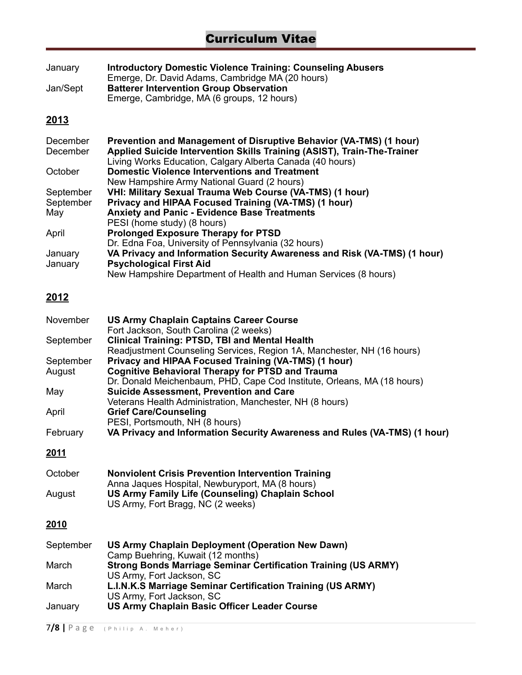# Curriculum Vitae

January **Introductory Domestic Violence Training: Counseling Abusers** Emerge, Dr. David Adams, Cambridge MA (20 hours) Jan/Sept **Batterer Intervention Group Observation** Emerge, Cambridge, MA (6 groups, 12 hours)

# **2013**

| December  | Prevention and Management of Disruptive Behavior (VA-TMS) (1 hour)                                                                   |
|-----------|--------------------------------------------------------------------------------------------------------------------------------------|
| December  | Applied Suicide Intervention Skills Training (ASIST), Train-The-Trainer<br>Living Works Education, Calgary Alberta Canada (40 hours) |
| October   | <b>Domestic Violence Interventions and Treatment</b>                                                                                 |
|           | New Hampshire Army National Guard (2 hours)                                                                                          |
| September | VHI: Military Sexual Trauma Web Course (VA-TMS) (1 hour)                                                                             |
| September | Privacy and HIPAA Focused Training (VA-TMS) (1 hour)                                                                                 |
| May       | <b>Anxiety and Panic - Evidence Base Treatments</b>                                                                                  |
|           | PESI (home study) (8 hours)                                                                                                          |
| April     | <b>Prolonged Exposure Therapy for PTSD</b>                                                                                           |
|           | Dr. Edna Foa, University of Pennsylvania (32 hours)                                                                                  |
| January   | VA Privacy and Information Security Awareness and Risk (VA-TMS) (1 hour)                                                             |
| January   | <b>Psychological First Aid</b>                                                                                                       |
|           | New Hampshire Department of Health and Human Services (8 hours)                                                                      |

# **2012**

| November  | <b>US Army Chaplain Captains Career Course</b><br>Fort Jackson, South Carolina (2 weeks) |
|-----------|------------------------------------------------------------------------------------------|
| September | <b>Clinical Training: PTSD, TBI and Mental Health</b>                                    |
|           | Readjustment Counseling Services, Region 1A, Manchester, NH (16 hours)                   |
| September | Privacy and HIPAA Focused Training (VA-TMS) (1 hour)                                     |
| August    | <b>Cognitive Behavioral Therapy for PTSD and Trauma</b>                                  |
|           | Dr. Donald Meichenbaum, PHD, Cape Cod Institute, Orleans, MA (18 hours)                  |
| May       | <b>Suicide Assessment, Prevention and Care</b>                                           |
|           | Veterans Health Administration, Manchester, NH (8 hours)                                 |
| April     | <b>Grief Care/Counseling</b>                                                             |
|           | PESI, Portsmouth, NH (8 hours)                                                           |
| February  | VA Privacy and Information Security Awareness and Rules (VA-TMS) (1 hour)                |
| 2011      |                                                                                          |

| October | <b>Nonviolent Crisis Prevention Intervention Training</b> |
|---------|-----------------------------------------------------------|
|         | Anna Jaques Hospital, Newburyport, MA (8 hours)           |
| August  | US Army Family Life (Counseling) Chaplain School          |
|         | US Army, Fort Bragg, NC (2 weeks)                         |

| September | US Army Chaplain Deployment (Operation New Dawn)                      |
|-----------|-----------------------------------------------------------------------|
|           | Camp Buehring, Kuwait (12 months)                                     |
| March     | <b>Strong Bonds Marriage Seminar Certification Training (US ARMY)</b> |
|           | US Army, Fort Jackson, SC                                             |
| March     | L.I.N.K.S Marriage Seminar Certification Training (US ARMY)           |
|           | US Army, Fort Jackson, SC                                             |
| January   | US Army Chaplain Basic Officer Leader Course                          |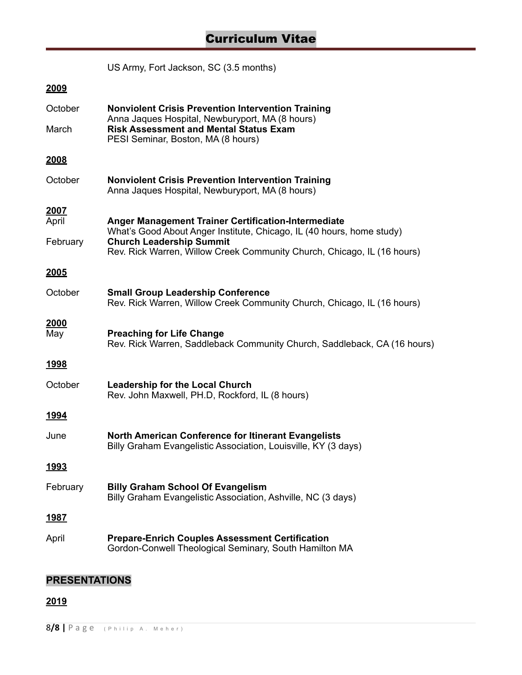|               | US Army, Fort Jackson, SC (3.5 months)                                                                                                 |
|---------------|----------------------------------------------------------------------------------------------------------------------------------------|
| 2009          |                                                                                                                                        |
| October       | <b>Nonviolent Crisis Prevention Intervention Training</b>                                                                              |
| March         | Anna Jaques Hospital, Newburyport, MA (8 hours)<br><b>Risk Assessment and Mental Status Exam</b><br>PESI Seminar, Boston, MA (8 hours) |
| 2008          |                                                                                                                                        |
| October       | <b>Nonviolent Crisis Prevention Intervention Training</b><br>Anna Jaques Hospital, Newburyport, MA (8 hours)                           |
| 2007<br>April | <b>Anger Management Trainer Certification-Intermediate</b><br>What's Good About Anger Institute, Chicago, IL (40 hours, home study)    |
| February      | <b>Church Leadership Summit</b><br>Rev. Rick Warren, Willow Creek Community Church, Chicago, IL (16 hours)                             |
| 2005          |                                                                                                                                        |
| October       | <b>Small Group Leadership Conference</b><br>Rev. Rick Warren, Willow Creek Community Church, Chicago, IL (16 hours)                    |
| 2000<br>May   | <b>Preaching for Life Change</b><br>Rev. Rick Warren, Saddleback Community Church, Saddleback, CA (16 hours)                           |
| <u>1998</u>   |                                                                                                                                        |
| October       | <b>Leadership for the Local Church</b><br>Rev. John Maxwell, PH.D, Rockford, IL (8 hours)                                              |
| <u>1994</u>   |                                                                                                                                        |
| June          | <b>North American Conference for Itinerant Evangelists</b><br>Billy Graham Evangelistic Association, Louisville, KY (3 days)           |
| <u>1993</u>   |                                                                                                                                        |
| February      | <b>Billy Graham School Of Evangelism</b><br>Billy Graham Evangelistic Association, Ashville, NC (3 days)                               |
| <u>1987</u>   |                                                                                                                                        |
| April         | <b>Prepare-Enrich Couples Assessment Certification</b><br>Gordon-Conwell Theological Seminary, South Hamilton MA                       |

# **PRESENTATIONS**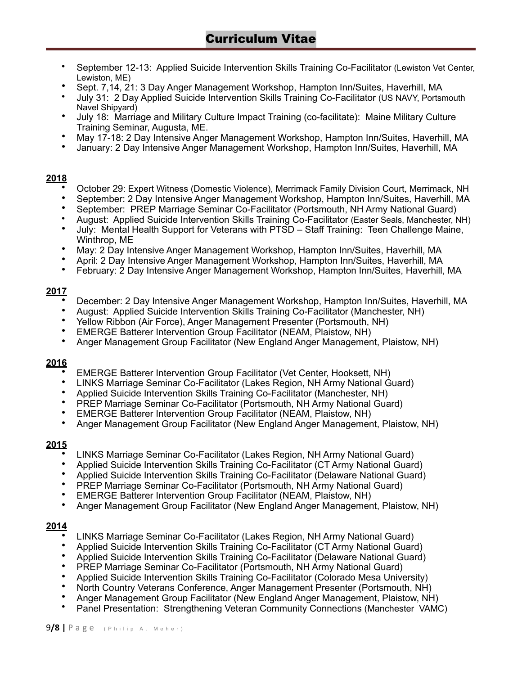- September 12-13: Applied Suicide Intervention Skills Training Co-Facilitator (Lewiston Vet Center, Lewiston, ME)
- Sept. 7,14, 21: 3 Day Anger Management Workshop, Hampton Inn/Suites, Haverhill, MA
- July 31: 2 Day Applied Suicide Intervention Skills Training Co-Facilitator (US NAVY, Portsmouth Navel Shipyard)
- July 18: Marriage and Military Culture Impact Training (co-facilitate): Maine Military Culture Training Seminar, Augusta, ME.
- May 17-18: 2 Day Intensive Anger Management Workshop, Hampton Inn/Suites, Haverhill, MA
- January: 2 Day Intensive Anger Management Workshop, Hampton Inn/Suites, Haverhill, MA

#### **2018**

- October 29: Expert Witness (Domestic Violence), Merrimack Family Division Court, Merrimack, NH
- September: 2 Day Intensive Anger Management Workshop, Hampton Inn/Suites, Haverhill, MA
- September: PREP Marriage Seminar Co-Facilitator (Portsmouth, NH Army National Guard)
- August: Applied Suicide Intervention Skills Training Co-Facilitator (Easter Seals, Manchester, NH)
- July: Mental Health Support for Veterans with PTSD Staff Training: Teen Challenge Maine, Winthrop, ME
- May: 2 Day Intensive Anger Management Workshop, Hampton Inn/Suites, Haverhill, MA
- April: 2 Day Intensive Anger Management Workshop, Hampton Inn/Suites, Haverhill, MA
- February: 2 Day Intensive Anger Management Workshop, Hampton Inn/Suites, Haverhill, MA

#### **2017**

- December: 2 Day Intensive Anger Management Workshop, Hampton Inn/Suites, Haverhill, MA
- August: Applied Suicide Intervention Skills Training Co-Facilitator (Manchester, NH)
- Yellow Ribbon (Air Force), Anger Management Presenter (Portsmouth, NH)
- EMERGE Batterer Intervention Group Facilitator (NEAM, Plaistow, NH)
- Anger Management Group Facilitator (New England Anger Management, Plaistow, NH)

#### **2016**

- EMERGE Batterer Intervention Group Facilitator (Vet Center, Hooksett, NH)
- LINKS Marriage Seminar Co-Facilitator (Lakes Region, NH Army National Guard)
- Applied Suicide Intervention Skills Training Co-Facilitator (Manchester, NH)
- PREP Marriage Seminar Co-Facilitator (Portsmouth, NH Army National Guard)
- EMERGE Batterer Intervention Group Facilitator (NEAM, Plaistow, NH)
- Anger Management Group Facilitator (New England Anger Management, Plaistow, NH)

#### **2015**

- LINKS Marriage Seminar Co-Facilitator (Lakes Region, NH Army National Guard)
- Applied Suicide Intervention Skills Training Co-Facilitator (CT Army National Guard)
- Applied Suicide Intervention Skills Training Co-Facilitator (Delaware National Guard)
- PREP Marriage Seminar Co-Facilitator (Portsmouth, NH Army National Guard)
- EMERGE Batterer Intervention Group Facilitator (NEAM, Plaistow, NH)
- Anger Management Group Facilitator (New England Anger Management, Plaistow, NH)

- LINKS Marriage Seminar Co-Facilitator (Lakes Region, NH Army National Guard)
- Applied Suicide Intervention Skills Training Co-Facilitator (CT Army National Guard)
- Applied Suicide Intervention Skills Training Co-Facilitator (Delaware National Guard)
- PREP Marriage Seminar Co-Facilitator (Portsmouth, NH Army National Guard)
- Applied Suicide Intervention Skills Training Co-Facilitator (Colorado Mesa University)
- North Country Veterans Conference, Anger Management Presenter (Portsmouth, NH)
- Anger Management Group Facilitator (New England Anger Management, Plaistow, NH)
- Panel Presentation: Strengthening Veteran Community Connections (Manchester VAMC)